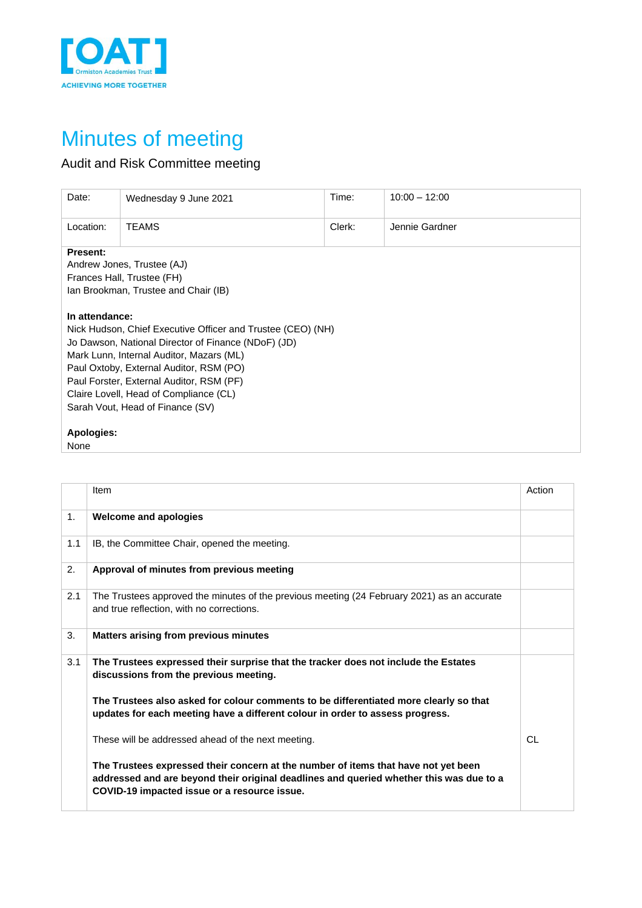

## Minutes of meeting

## Audit and Risk Committee meeting

| Date:                                                                                                                                                                                                                                                                                                                                                 | Wednesday 9 June 2021 | Time:  | $10:00 - 12:00$ |  |
|-------------------------------------------------------------------------------------------------------------------------------------------------------------------------------------------------------------------------------------------------------------------------------------------------------------------------------------------------------|-----------------------|--------|-----------------|--|
| Location:                                                                                                                                                                                                                                                                                                                                             | <b>TEAMS</b>          | Clerk: | Jennie Gardner  |  |
| <b>Present:</b><br>Andrew Jones, Trustee (AJ)<br>Frances Hall, Trustee (FH)<br>Ian Brookman, Trustee and Chair (IB)                                                                                                                                                                                                                                   |                       |        |                 |  |
| In attendance:<br>Nick Hudson, Chief Executive Officer and Trustee (CEO) (NH)<br>Jo Dawson, National Director of Finance (NDoF) (JD)<br>Mark Lunn, Internal Auditor, Mazars (ML)<br>Paul Oxtoby, External Auditor, RSM (PO)<br>Paul Forster, External Auditor, RSM (PF)<br>Claire Lovell, Head of Compliance (CL)<br>Sarah Vout, Head of Finance (SV) |                       |        |                 |  |
| Apologies:<br>None                                                                                                                                                                                                                                                                                                                                    |                       |        |                 |  |

|                | Item                                                                                                                                                                                                                          | Action |
|----------------|-------------------------------------------------------------------------------------------------------------------------------------------------------------------------------------------------------------------------------|--------|
| 1 <sub>1</sub> | <b>Welcome and apologies</b>                                                                                                                                                                                                  |        |
| 1.1            | IB, the Committee Chair, opened the meeting.                                                                                                                                                                                  |        |
| 2.             | Approval of minutes from previous meeting                                                                                                                                                                                     |        |
| 2.1            | The Trustees approved the minutes of the previous meeting (24 February 2021) as an accurate<br>and true reflection, with no corrections.                                                                                      |        |
| 3.             | <b>Matters arising from previous minutes</b>                                                                                                                                                                                  |        |
| 3.1            | The Trustees expressed their surprise that the tracker does not include the Estates<br>discussions from the previous meeting.                                                                                                 |        |
|                | The Trustees also asked for colour comments to be differentiated more clearly so that<br>updates for each meeting have a different colour in order to assess progress.                                                        |        |
|                | These will be addressed ahead of the next meeting.                                                                                                                                                                            | CL     |
|                | The Trustees expressed their concern at the number of items that have not yet been<br>addressed and are beyond their original deadlines and queried whether this was due to a<br>COVID-19 impacted issue or a resource issue. |        |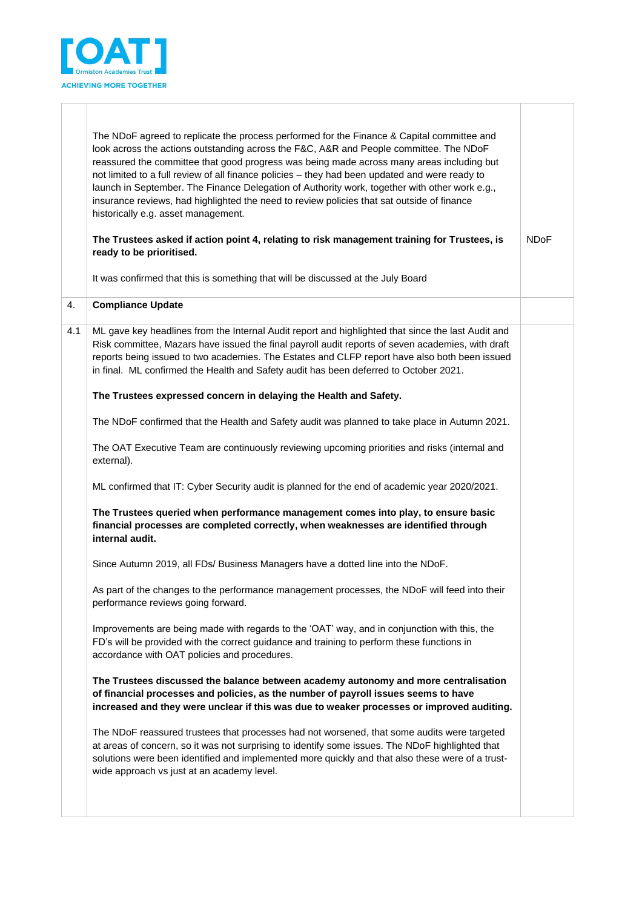

|     | The NDoF agreed to replicate the process performed for the Finance & Capital committee and<br>look across the actions outstanding across the F&C, A&R and People committee. The NDoF<br>reassured the committee that good progress was being made across many areas including but<br>not limited to a full review of all finance policies - they had been updated and were ready to<br>launch in September. The Finance Delegation of Authority work, together with other work e.g.,<br>insurance reviews, had highlighted the need to review policies that sat outside of finance<br>historically e.g. asset management.<br>The Trustees asked if action point 4, relating to risk management training for Trustees, is<br>ready to be prioritised. | <b>NDoF</b> |
|-----|------------------------------------------------------------------------------------------------------------------------------------------------------------------------------------------------------------------------------------------------------------------------------------------------------------------------------------------------------------------------------------------------------------------------------------------------------------------------------------------------------------------------------------------------------------------------------------------------------------------------------------------------------------------------------------------------------------------------------------------------------|-------------|
|     | It was confirmed that this is something that will be discussed at the July Board                                                                                                                                                                                                                                                                                                                                                                                                                                                                                                                                                                                                                                                                     |             |
| 4.  | <b>Compliance Update</b>                                                                                                                                                                                                                                                                                                                                                                                                                                                                                                                                                                                                                                                                                                                             |             |
| 4.1 | ML gave key headlines from the Internal Audit report and highlighted that since the last Audit and<br>Risk committee, Mazars have issued the final payroll audit reports of seven academies, with draft<br>reports being issued to two academies. The Estates and CLFP report have also both been issued<br>in final. ML confirmed the Health and Safety audit has been deferred to October 2021.                                                                                                                                                                                                                                                                                                                                                    |             |
|     | The Trustees expressed concern in delaying the Health and Safety.                                                                                                                                                                                                                                                                                                                                                                                                                                                                                                                                                                                                                                                                                    |             |
|     | The NDoF confirmed that the Health and Safety audit was planned to take place in Autumn 2021.                                                                                                                                                                                                                                                                                                                                                                                                                                                                                                                                                                                                                                                        |             |
|     | The OAT Executive Team are continuously reviewing upcoming priorities and risks (internal and<br>external).                                                                                                                                                                                                                                                                                                                                                                                                                                                                                                                                                                                                                                          |             |
|     | ML confirmed that IT: Cyber Security audit is planned for the end of academic year 2020/2021.                                                                                                                                                                                                                                                                                                                                                                                                                                                                                                                                                                                                                                                        |             |
|     | The Trustees queried when performance management comes into play, to ensure basic<br>financial processes are completed correctly, when weaknesses are identified through<br>internal audit.                                                                                                                                                                                                                                                                                                                                                                                                                                                                                                                                                          |             |
|     | Since Autumn 2019, all FDs/ Business Managers have a dotted line into the NDoF.                                                                                                                                                                                                                                                                                                                                                                                                                                                                                                                                                                                                                                                                      |             |
|     | As part of the changes to the performance management processes, the NDoF will feed into their<br>performance reviews going forward.                                                                                                                                                                                                                                                                                                                                                                                                                                                                                                                                                                                                                  |             |
|     | Improvements are being made with regards to the 'OAT' way, and in conjunction with this, the<br>FD's will be provided with the correct guidance and training to perform these functions in<br>accordance with OAT policies and procedures.                                                                                                                                                                                                                                                                                                                                                                                                                                                                                                           |             |
|     | The Trustees discussed the balance between academy autonomy and more centralisation<br>of financial processes and policies, as the number of payroll issues seems to have<br>increased and they were unclear if this was due to weaker processes or improved auditing.                                                                                                                                                                                                                                                                                                                                                                                                                                                                               |             |
|     | The NDoF reassured trustees that processes had not worsened, that some audits were targeted<br>at areas of concern, so it was not surprising to identify some issues. The NDoF highlighted that<br>solutions were been identified and implemented more quickly and that also these were of a trust-<br>wide approach vs just at an academy level.                                                                                                                                                                                                                                                                                                                                                                                                    |             |
|     |                                                                                                                                                                                                                                                                                                                                                                                                                                                                                                                                                                                                                                                                                                                                                      |             |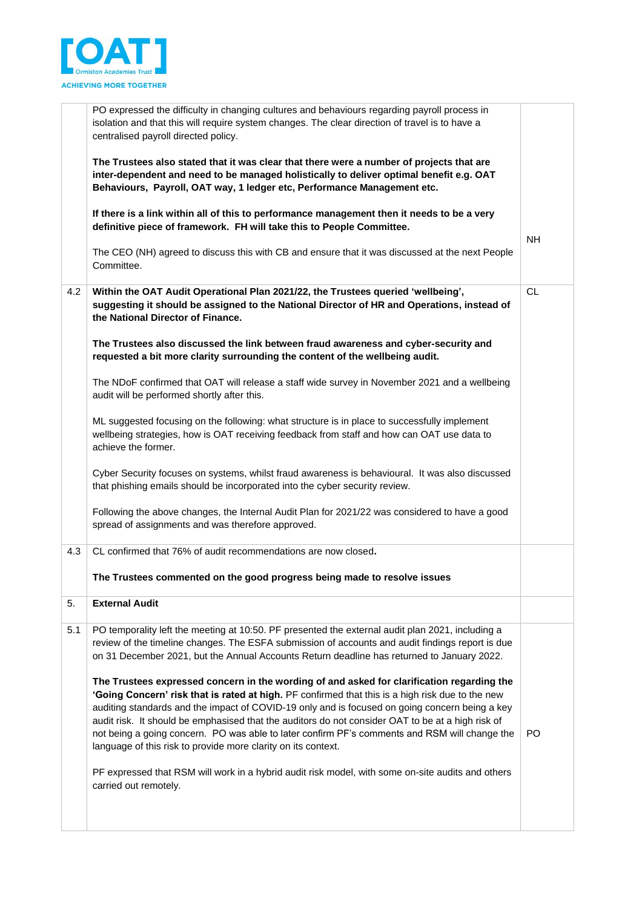

|     | PO expressed the difficulty in changing cultures and behaviours regarding payroll process in<br>isolation and that this will require system changes. The clear direction of travel is to have a<br>centralised payroll directed policy.                                                                                                                                                                                                                                                                                                                                 |           |
|-----|-------------------------------------------------------------------------------------------------------------------------------------------------------------------------------------------------------------------------------------------------------------------------------------------------------------------------------------------------------------------------------------------------------------------------------------------------------------------------------------------------------------------------------------------------------------------------|-----------|
|     | The Trustees also stated that it was clear that there were a number of projects that are<br>inter-dependent and need to be managed holistically to deliver optimal benefit e.g. OAT<br>Behaviours, Payroll, OAT way, 1 ledger etc, Performance Management etc.                                                                                                                                                                                                                                                                                                          |           |
|     | If there is a link within all of this to performance management then it needs to be a very<br>definitive piece of framework. FH will take this to People Committee.                                                                                                                                                                                                                                                                                                                                                                                                     | <b>NH</b> |
|     | The CEO (NH) agreed to discuss this with CB and ensure that it was discussed at the next People<br>Committee.                                                                                                                                                                                                                                                                                                                                                                                                                                                           |           |
| 4.2 | Within the OAT Audit Operational Plan 2021/22, the Trustees queried 'wellbeing',<br>suggesting it should be assigned to the National Director of HR and Operations, instead of<br>the National Director of Finance.                                                                                                                                                                                                                                                                                                                                                     | CL.       |
|     | The Trustees also discussed the link between fraud awareness and cyber-security and<br>requested a bit more clarity surrounding the content of the wellbeing audit.                                                                                                                                                                                                                                                                                                                                                                                                     |           |
|     | The NDoF confirmed that OAT will release a staff wide survey in November 2021 and a wellbeing<br>audit will be performed shortly after this.                                                                                                                                                                                                                                                                                                                                                                                                                            |           |
|     | ML suggested focusing on the following: what structure is in place to successfully implement<br>wellbeing strategies, how is OAT receiving feedback from staff and how can OAT use data to<br>achieve the former.                                                                                                                                                                                                                                                                                                                                                       |           |
|     | Cyber Security focuses on systems, whilst fraud awareness is behavioural. It was also discussed<br>that phishing emails should be incorporated into the cyber security review.                                                                                                                                                                                                                                                                                                                                                                                          |           |
|     | Following the above changes, the Internal Audit Plan for 2021/22 was considered to have a good<br>spread of assignments and was therefore approved.                                                                                                                                                                                                                                                                                                                                                                                                                     |           |
| 4.3 | CL confirmed that 76% of audit recommendations are now closed.                                                                                                                                                                                                                                                                                                                                                                                                                                                                                                          |           |
|     | The Trustees commented on the good progress being made to resolve issues                                                                                                                                                                                                                                                                                                                                                                                                                                                                                                |           |
| 5.  | <b>External Audit</b>                                                                                                                                                                                                                                                                                                                                                                                                                                                                                                                                                   |           |
| 5.1 | PO temporality left the meeting at 10:50. PF presented the external audit plan 2021, including a<br>review of the timeline changes. The ESFA submission of accounts and audit findings report is due<br>on 31 December 2021, but the Annual Accounts Return deadline has returned to January 2022.                                                                                                                                                                                                                                                                      |           |
|     | The Trustees expressed concern in the wording of and asked for clarification regarding the<br>'Going Concern' risk that is rated at high. PF confirmed that this is a high risk due to the new<br>auditing standards and the impact of COVID-19 only and is focused on going concern being a key<br>audit risk. It should be emphasised that the auditors do not consider OAT to be at a high risk of<br>not being a going concern. PO was able to later confirm PF's comments and RSM will change the<br>language of this risk to provide more clarity on its context. | PO.       |
|     | PF expressed that RSM will work in a hybrid audit risk model, with some on-site audits and others<br>carried out remotely.                                                                                                                                                                                                                                                                                                                                                                                                                                              |           |
|     |                                                                                                                                                                                                                                                                                                                                                                                                                                                                                                                                                                         |           |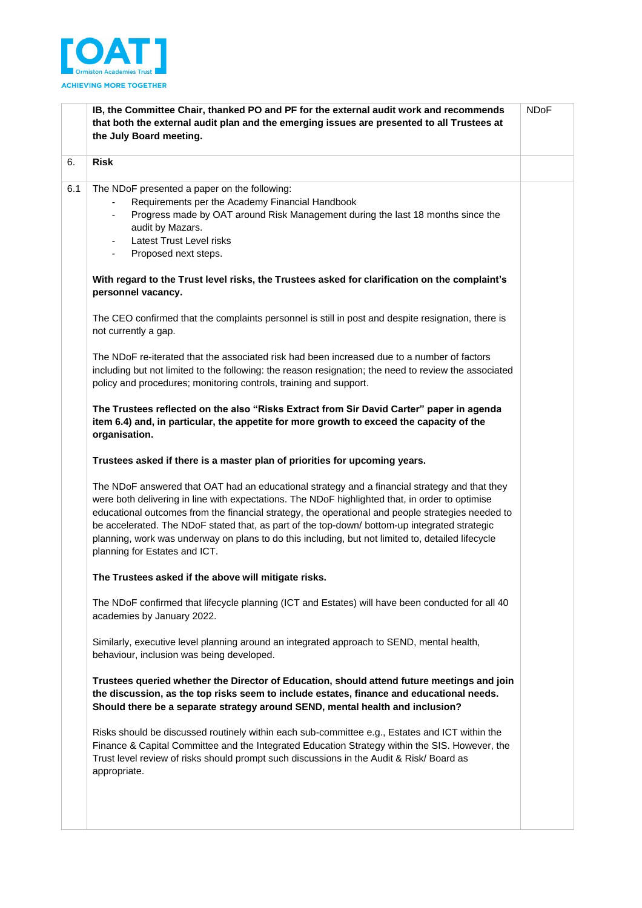

|     | IB, the Committee Chair, thanked PO and PF for the external audit work and recommends<br>that both the external audit plan and the emerging issues are presented to all Trustees at<br>the July Board meeting.                                                                                                                                                                                                                                                                                                                               | <b>NDoF</b> |
|-----|----------------------------------------------------------------------------------------------------------------------------------------------------------------------------------------------------------------------------------------------------------------------------------------------------------------------------------------------------------------------------------------------------------------------------------------------------------------------------------------------------------------------------------------------|-------------|
| 6.  | <b>Risk</b>                                                                                                                                                                                                                                                                                                                                                                                                                                                                                                                                  |             |
| 6.1 | The NDoF presented a paper on the following:<br>Requirements per the Academy Financial Handbook<br>Progress made by OAT around Risk Management during the last 18 months since the<br>audit by Mazars.<br>Latest Trust Level risks<br>Proposed next steps.<br>$\blacksquare$                                                                                                                                                                                                                                                                 |             |
|     | With regard to the Trust level risks, the Trustees asked for clarification on the complaint's<br>personnel vacancy.                                                                                                                                                                                                                                                                                                                                                                                                                          |             |
|     | The CEO confirmed that the complaints personnel is still in post and despite resignation, there is<br>not currently a gap.                                                                                                                                                                                                                                                                                                                                                                                                                   |             |
|     | The NDoF re-iterated that the associated risk had been increased due to a number of factors<br>including but not limited to the following: the reason resignation; the need to review the associated<br>policy and procedures; monitoring controls, training and support.                                                                                                                                                                                                                                                                    |             |
|     | The Trustees reflected on the also "Risks Extract from Sir David Carter" paper in agenda<br>item 6.4) and, in particular, the appetite for more growth to exceed the capacity of the<br>organisation.                                                                                                                                                                                                                                                                                                                                        |             |
|     | Trustees asked if there is a master plan of priorities for upcoming years.                                                                                                                                                                                                                                                                                                                                                                                                                                                                   |             |
|     | The NDoF answered that OAT had an educational strategy and a financial strategy and that they<br>were both delivering in line with expectations. The NDoF highlighted that, in order to optimise<br>educational outcomes from the financial strategy, the operational and people strategies needed to<br>be accelerated. The NDoF stated that, as part of the top-down/ bottom-up integrated strategic<br>planning, work was underway on plans to do this including, but not limited to, detailed lifecycle<br>planning for Estates and ICT. |             |
|     | The Trustees asked if the above will mitigate risks.                                                                                                                                                                                                                                                                                                                                                                                                                                                                                         |             |
|     | The NDoF confirmed that lifecycle planning (ICT and Estates) will have been conducted for all 40<br>academies by January 2022.                                                                                                                                                                                                                                                                                                                                                                                                               |             |
|     | Similarly, executive level planning around an integrated approach to SEND, mental health,<br>behaviour, inclusion was being developed.                                                                                                                                                                                                                                                                                                                                                                                                       |             |
|     | Trustees queried whether the Director of Education, should attend future meetings and join<br>the discussion, as the top risks seem to include estates, finance and educational needs.<br>Should there be a separate strategy around SEND, mental health and inclusion?                                                                                                                                                                                                                                                                      |             |
|     | Risks should be discussed routinely within each sub-committee e.g., Estates and ICT within the<br>Finance & Capital Committee and the Integrated Education Strategy within the SIS. However, the<br>Trust level review of risks should prompt such discussions in the Audit & Risk/Board as<br>appropriate.                                                                                                                                                                                                                                  |             |
|     |                                                                                                                                                                                                                                                                                                                                                                                                                                                                                                                                              |             |